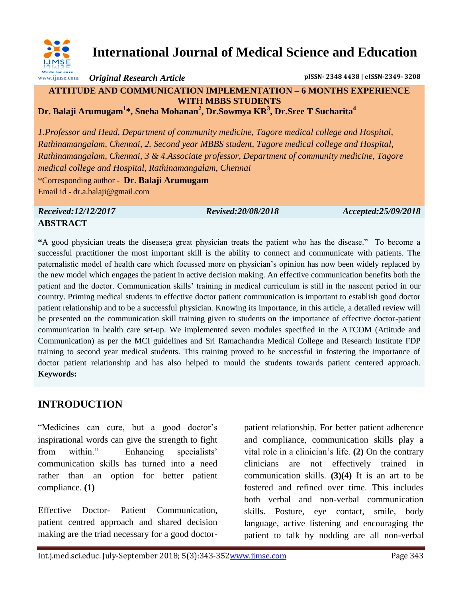

## **International Journal of Medical Science and Education**

*Original Research Article* **pISSN- 2348 4438 | eISSN-2349- 3208**

#### **ATTITUDE AND COMMUNICATION IMPLEMENTATION – 6 MONTHS EXPERIENCE WITH MBBS STUDENTS Dr. Balaji Arumugam<sup>1</sup> \*, Sneha Mohanan<sup>2</sup> , Dr.Sowmya KR<sup>3</sup> , Dr.Sree T Sucharita<sup>4</sup>**

*1.Professor and Head, Department of community medicine, Tagore medical college and Hospital, Rathinamangalam, Chennai, 2. Second year MBBS student, Tagore medical college and Hospital, Rathinamangalam, Chennai, 3 & 4.Associate professor, Department of community medicine, Tagore medical college and Hospital, Rathinamangalam, Chennai*

\*Corresponding author - **Dr. Balaji Arumugam** Email id - dr.a.balaji@gmail.com

*Received:12/12/2017 Revised:20/08/2018 Accepted:25/09/2018*

# **ABSTRACT**

**"**A good physician treats the disease;a great physician treats the patient who has the disease." To become a successful practitioner the most important skill is the ability to connect and communicate with patients. The paternalistic model of health care which focussed more on physician"s opinion has now been widely replaced by the new model which engages the patient in active decision making. An effective communication benefits both the patient and the doctor. Communication skills" training in medical curriculum is still in the nascent period in our country. Priming medical students in effective doctor patient communication is important to establish good doctor patient relationship and to be a successful physician. Knowing its importance, in this article, a detailed review will be presented on the communication skill training given to students on the importance of effective doctor-patient communication in health care set-up. We implemented seven modules specified in the ATCOM (Attitude and Communication) as per the MCI guidelines and Sri Ramachandra Medical College and Research Institute FDP training to second year medical students. This training proved to be successful in fostering the importance of doctor patient relationship and has also helped to mould the students towards patient centered approach. **Keywords:** 

### **INTRODUCTION**

"Medicines can cure, but a good doctor"s inspirational words can give the strength to fight from within." Enhancing specialists' communication skills has turned into a need rather than an option for better patient compliance. **(1)**

Effective Doctor- Patient Communication, patient centred approach and shared decision making are the triad necessary for a good doctor-

patient relationship. For better patient adherence and compliance, communication skills play a vital role in a clinician"s life. **(2)** On the contrary clinicians are not effectively trained in communication skills. **(3)(4)** It is an art to be fostered and refined over time. This includes both verbal and non-verbal communication skills. Posture, eye contact, smile, body language, active listening and encouraging the patient to talk by nodding are all non-verbal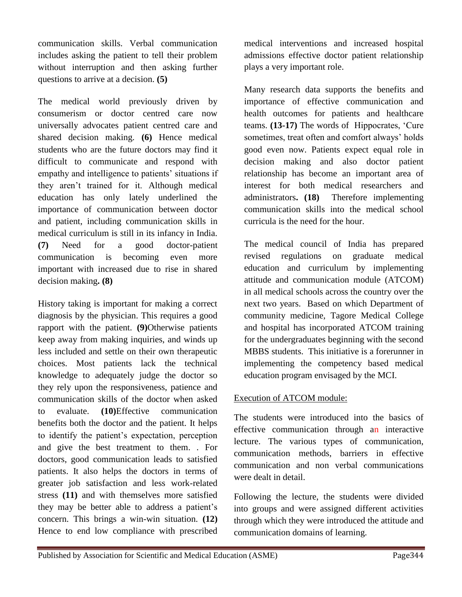communication skills. Verbal communication includes asking the patient to tell their problem without interruption and then asking further questions to arrive at a decision. **(5)**

The medical world previously driven by consumerism or doctor centred care now universally advocates patient centred care and shared decision making. **(6)** Hence medical students who are the future doctors may find it difficult to communicate and respond with empathy and intelligence to patients' situations if they aren"t trained for it. Although medical education has only lately underlined the importance of communication between doctor and patient, including communication skills in medical curriculum is still in its infancy in India. **(7)** Need for a good doctor-patient communication is becoming even more important with increased due to rise in shared decision making**. (8)**

History taking is important for making a correct diagnosis by the physician. This requires a good rapport with the patient. **(9)**Otherwise patients keep away from making inquiries, and winds up less included and settle on their own therapeutic choices. Most patients lack the technical knowledge to adequately judge the doctor so they rely upon the responsiveness, patience and communication skills of the doctor when asked to evaluate. **(10)**Effective communication benefits both the doctor and the patient. It helps to identify the patient"s expectation, perception and give the best treatment to them. . For doctors, good communication leads to satisfied patients. It also helps the doctors in terms of greater job satisfaction and less work-related stress **(11)** and with themselves more satisfied they may be better able to address a patient"s concern. This brings a win-win situation. **(12)** Hence to end low compliance with prescribed

medical interventions and increased hospital admissions effective doctor patient relationship plays a very important role.

Many research data supports the benefits and importance of effective communication and health outcomes for patients and healthcare teams. **(13-17)** The words of Hippocrates, "Cure sometimes, treat often and comfort always' holds good even now. Patients expect equal role in decision making and also doctor patient relationship has become an important area of interest for both medical researchers and administrators**. (18)** Therefore implementing communication skills into the medical school curricula is the need for the hour.

The medical council of India has prepared revised regulations on graduate medical education and curriculum by implementing attitude and communication module (ATCOM) in all medical schools across the country over the next two years. Based on which Department of community medicine, Tagore Medical College and hospital has incorporated ATCOM training for the undergraduates beginning with the second MBBS students. This initiative is a forerunner in implementing the competency based medical education program envisaged by the MCI.

#### Execution of ATCOM module:

The students were introduced into the basics of effective communication through an interactive lecture. The various types of communication, communication methods, barriers in effective communication and non verbal communications were dealt in detail.

Following the lecture, the students were divided into groups and were assigned different activities through which they were introduced the attitude and communication domains of learning.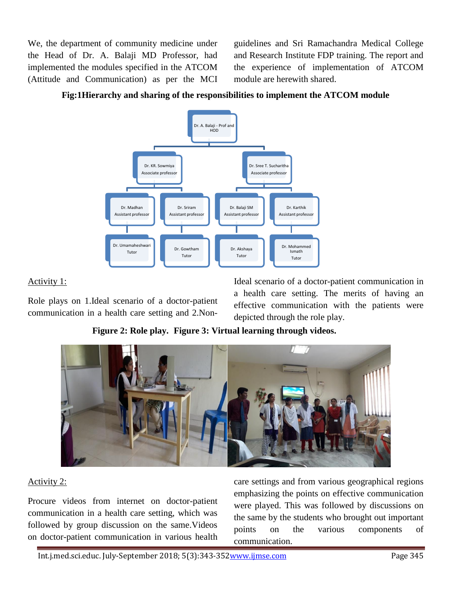We, the department of community medicine under the Head of Dr. A. Balaji MD Professor, had implemented the modules specified in the ATCOM (Attitude and Communication) as per the MCI

guidelines and Sri Ramachandra Medical College and Research Institute FDP training. The report and the experience of implementation of ATCOM module are herewith shared.



#### **Fig:1Hierarchy and sharing of the responsibilities to implement the ATCOM module**

#### Activity 1:

Role plays on 1.Ideal scenario of a doctor-patient communication in a health care setting and 2.NonIdeal scenario of a doctor-patient communication in a health care setting. The merits of having an effective communication with the patients were depicted through the role play.

**Figure 2: Role play. Figure 3: Virtual learning through videos.**



#### Activity 2:

Procure videos from internet on doctor-patient communication in a health care setting, which was followed by group discussion on the same.Videos on doctor-patient communication in various health care settings and from various geographical regions emphasizing the points on effective communication were played. This was followed by discussions on the same by the students who brought out important points on the various components of communication.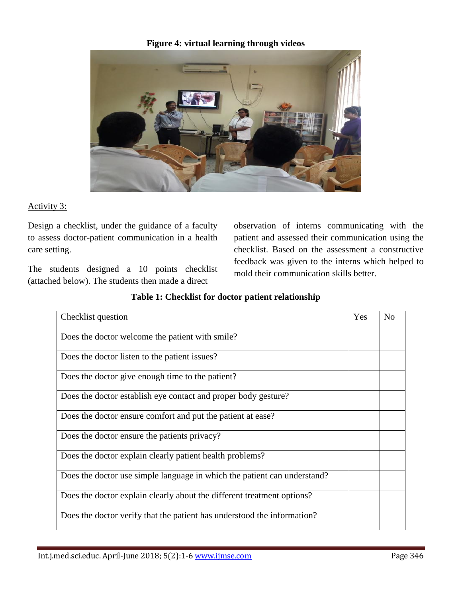**Figure 4: virtual learning through videos**



#### Activity 3:

Design a checklist, under the guidance of a faculty to assess doctor-patient communication in a health care setting.

The students designed a 10 points checklist (attached below). The students then made a direct

observation of interns communicating with the patient and assessed their communication using the checklist. Based on the assessment a constructive feedback was given to the interns which helped to mold their communication skills better.

| Checklist question                                                       | Yes | N <sub>o</sub> |
|--------------------------------------------------------------------------|-----|----------------|
| Does the doctor welcome the patient with smile?                          |     |                |
| Does the doctor listen to the patient issues?                            |     |                |
| Does the doctor give enough time to the patient?                         |     |                |
| Does the doctor establish eye contact and proper body gesture?           |     |                |
| Does the doctor ensure comfort and put the patient at ease?              |     |                |
| Does the doctor ensure the patients privacy?                             |     |                |
| Does the doctor explain clearly patient health problems?                 |     |                |
| Does the doctor use simple language in which the patient can understand? |     |                |
| Does the doctor explain clearly about the different treatment options?   |     |                |
| Does the doctor verify that the patient has understood the information?  |     |                |

#### **Table 1: Checklist for doctor patient relationship**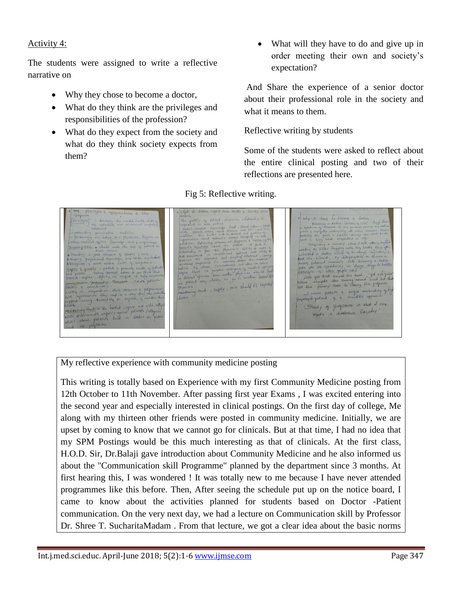#### Activity 4:

The students were assigned to write a reflective narrative on

- Why they chose to become a doctor,
- What do they think are the privileges and responsibilities of the profession?
- What do they expect from the society and what do they think society expects from them?

 What will they have to do and give up in order meeting their own and society"s expectation?

And Share the experience of a senior doctor about their professional role in the society and what it means to them.

Reflective writing by students

Some of the students were asked to reflect about the entire clinical posting and two of their reflections are presented here.

Herence in Let's you beat SKIN should be expected physician just , safety  $J$ ordor onal growing of programs in that I can truet; To Be honest make a difference Everyday discriminate unfairly a abust patients

Fig 5: Reflective writing.

My reflective experience with community medicine posting

This writing is totally based on Experience with my first Community Medicine posting from 12th October to 11th November. After passing first year Exams , I was excited entering into the second year and especially interested in clinical postings. On the first day of college, Me along with my thirteen other friends were posted in community medicine. Initially, we are upset by coming to know that we cannot go for clinicals. But at that time, I had no idea that my SPM Postings would be this much interesting as that of clinicals. At the first class, H.O.D. Sir, Dr.Balaji gave introduction about Community Medicine and he also informed us about the "Communication skill Programme" planned by the department since 3 months. At first hearing this, I was wondered ! It was totally new to me because I have never attended programmes like this before. Then, After seeing the schedule put up on the notice board, I came to know about the activities planned for students based on Doctor -Patient communication. On the very next day, we had a lecture on Communication skill by Professor Dr. Shree T. SucharitaMadam . From that lecture, we got a clear idea about the basic norms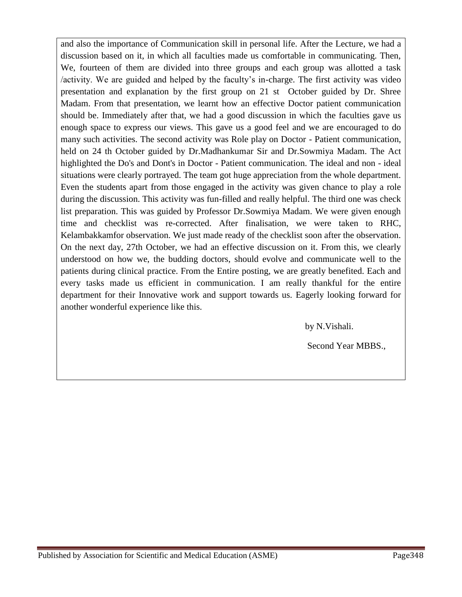and also the importance of Communication skill in personal life. After the Lecture, we had a discussion based on it, in which all faculties made us comfortable in communicating. Then, We, fourteen of them are divided into three groups and each group was allotted a task /activity. We are guided and helped by the faculty"s in-charge. The first activity was video presentation and explanation by the first group on 21 st October guided by Dr. Shree Madam. From that presentation, we learnt how an effective Doctor patient communication should be. Immediately after that, we had a good discussion in which the faculties gave us enough space to express our views. This gave us a good feel and we are encouraged to do many such activities. The second activity was Role play on Doctor - Patient communication, held on 24 th October guided by Dr.Madhankumar Sir and Dr.Sowmiya Madam. The Act highlighted the Do's and Dont's in Doctor - Patient communication. The ideal and non - ideal situations were clearly portrayed. The team got huge appreciation from the whole department. Even the students apart from those engaged in the activity was given chance to play a role during the discussion. This activity was fun-filled and really helpful. The third one was check list preparation. This was guided by Professor Dr.Sowmiya Madam. We were given enough time and checklist was re-corrected. After finalisation, we were taken to RHC, Kelambakkamfor observation. We just made ready of the checklist soon after the observation. On the next day, 27th October, we had an effective discussion on it. From this, we clearly understood on how we, the budding doctors, should evolve and communicate well to the patients during clinical practice. From the Entire posting, we are greatly benefited. Each and every tasks made us efficient in communication. I am really thankful for the entire department for their Innovative work and support towards us. Eagerly looking forward for another wonderful experience like this.

by N.Vishali.

Second Year MBBS.,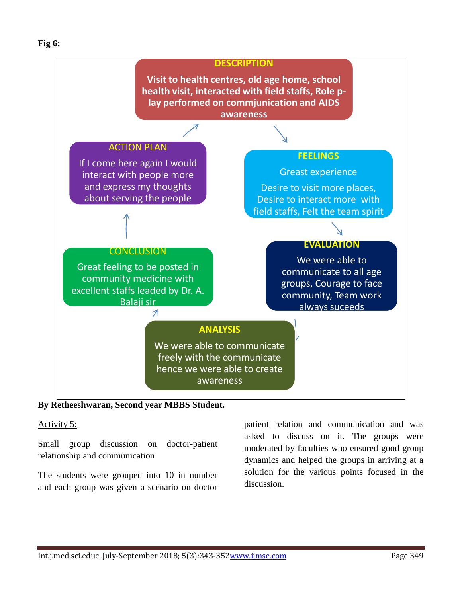#### **Fig 6:**



**By Retheeshwaran, Second year MBBS Student.**

#### Activity 5:

Small group discussion on doctor-patient relationship and communication

The students were grouped into 10 in number and each group was given a scenario on doctor

patient relation and communication and was asked to discuss on it. The groups were moderated by faculties who ensured good group dynamics and helped the groups in arriving at a solution for the various points focused in the discussion.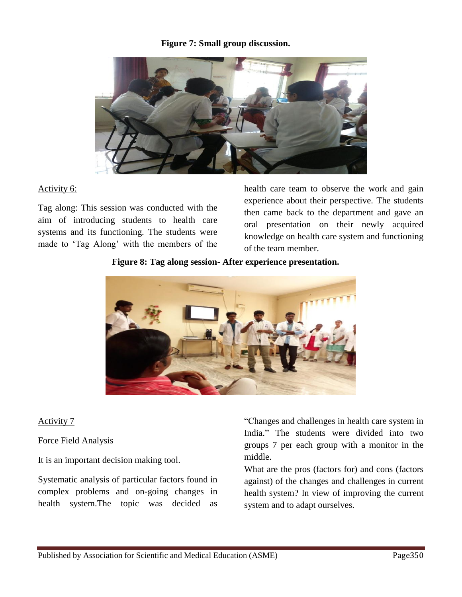#### **Figure 7: Small group discussion.**



#### Activity 6:

Tag along: This session was conducted with the aim of introducing students to health care systems and its functioning. The students were made to "Tag Along" with the members of the

health care team to observe the work and gain experience about their perspective. The students then came back to the department and gave an oral presentation on their newly acquired knowledge on health care system and functioning of the team member.

#### **Figure 8: Tag along session- After experience presentation.**



#### Activity 7

Force Field Analysis

It is an important decision making tool.

Systematic analysis of particular factors found in complex problems and on-going changes in health system.The topic was decided as

"Changes and challenges in health care system in India." The students were divided into two groups 7 per each group with a monitor in the middle.

What are the pros (factors for) and cons (factors against) of the changes and challenges in current health system? In view of improving the current system and to adapt ourselves.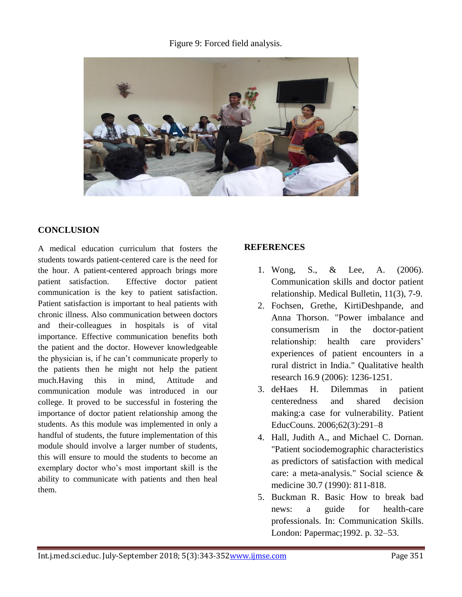#### Figure 9: Forced field analysis.



#### **CONCLUSION**

A medical education curriculum that fosters the students towards patient-centered care is the need for the hour. A patient-centered approach brings more patient satisfaction. Effective doctor patient communication is the key to patient satisfaction. Patient satisfaction is important to heal patients with chronic illness. Also communication between doctors and their-colleagues in hospitals is of vital importance. Effective communication benefits both the patient and the doctor. However knowledgeable the physician is, if he can"t communicate properly to the patients then he might not help the patient much.Having this in mind, Attitude and communication module was introduced in our college. It proved to be successful in fostering the importance of doctor patient relationship among the students. As this module was implemented in only a handful of students, the future implementation of this module should involve a larger number of students, this will ensure to mould the students to become an exemplary doctor who"s most important skill is the ability to communicate with patients and then heal them.

#### **REFERENCES**

- 1. Wong, S., & Lee, A. (2006). Communication skills and doctor patient relationship. Medical Bulletin, 11(3), 7-9.
- 2. Fochsen, Grethe, KirtiDeshpande, and Anna Thorson. "Power imbalance and consumerism in the doctor-patient relationship: health care providers' experiences of patient encounters in a rural district in India." Qualitative health research 16.9 (2006): 1236-1251.
- 3. deHaes H. Dilemmas in patient centeredness and shared decision making:a case for vulnerability. Patient EducCouns. 2006;62(3):291–8
- 4. Hall, Judith A., and Michael C. Dornan. "Patient sociodemographic characteristics as predictors of satisfaction with medical care: a meta-analysis." Social science & medicine 30.7 (1990): 811-818.
- 5. Buckman R. Basic How to break bad news: a guide for health-care professionals. In: Communication Skills. London: Papermac;1992. p. 32–53.